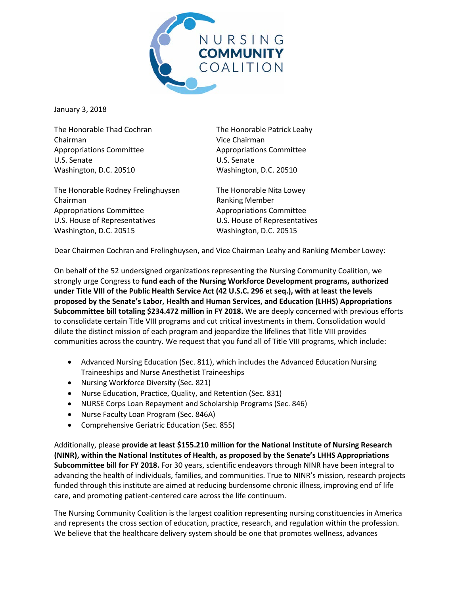

January 3, 2018

The Honorable Thad Cochran The Honorable Patrick Leahy Chairman Vice Chairman Appropriations Committee Appropriations Committee U.S. Senate U.S. Senate Washington, D.C. 20510 Washington, D.C. 20510

The Honorable Rodney Frelinghuysen The Honorable Nita Lowey Chairman **Ranking Member** Appropriations Committee Appropriations Committee U.S. House of Representatives U.S. House of Representatives Washington, D.C. 20515 Washington, D.C. 20515

Dear Chairmen Cochran and Frelinghuysen, and Vice Chairman Leahy and Ranking Member Lowey:

On behalf of the 52 undersigned organizations representing the Nursing Community Coalition, we strongly urge Congress to **fund each of the Nursing Workforce Development programs, authorized under Title VIII of the Public Health Service Act (42 U.S.C. 296 et seq.), with at least the levels proposed by the Senate's Labor, Health and Human Services, and Education (LHHS) Appropriations Subcommittee bill totaling \$234.472 million in FY 2018.** We are deeply concerned with previous efforts to consolidate certain Title VIII programs and cut critical investments in them. Consolidation would dilute the distinct mission of each program and jeopardize the lifelines that Title VIII provides communities across the country. We request that you fund all of Title VIII programs, which include:

- Advanced Nursing Education (Sec. 811), which includes the Advanced Education Nursing Traineeships and Nurse Anesthetist Traineeships
- Nursing Workforce Diversity (Sec. 821)
- Nurse Education, Practice, Quality, and Retention (Sec. 831)
- NURSE Corps Loan Repayment and Scholarship Programs (Sec. 846)
- Nurse Faculty Loan Program (Sec. 846A)
- Comprehensive Geriatric Education (Sec. 855)

Additionally, please **provide at least \$155.210 million for the National Institute of Nursing Research (NINR), within the National Institutes of Health, as proposed by the Senate's LHHS Appropriations Subcommittee bill for FY 2018.** For 30 years, scientific endeavors through NINR have been integral to advancing the health of individuals, families, and communities. True to NINR's mission, research projects funded through this institute are aimed at reducing burdensome chronic illness, improving end of life care, and promoting patient-centered care across the life continuum.

The Nursing Community Coalition is the largest coalition representing nursing constituencies in America and represents the cross section of education, practice, research, and regulation within the profession. We believe that the healthcare delivery system should be one that promotes wellness, advances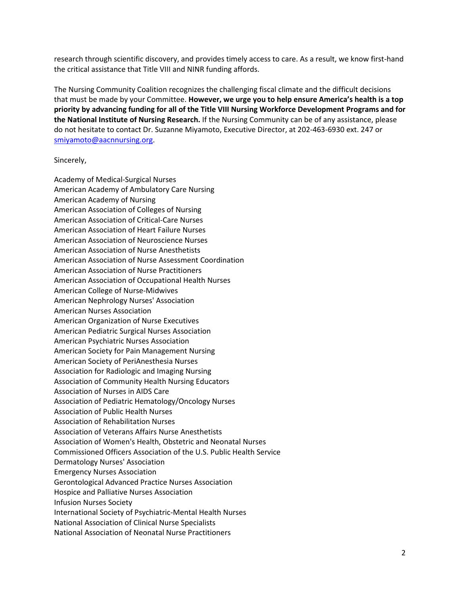research through scientific discovery, and provides timely access to care. As a result, we know first-hand the critical assistance that Title VIII and NINR funding affords.

The Nursing Community Coalition recognizes the challenging fiscal climate and the difficult decisions that must be made by your Committee. **However, we urge you to help ensure America's health is a top priority by advancing funding for all of the Title VIII Nursing Workforce Development Programs and for the National Institute of Nursing Research.** If the Nursing Community can be of any assistance, please do not hesitate to contact Dr. Suzanne Miyamoto, Executive Director, at 202-463-6930 ext. 247 or [smiyamoto@aacnnursing.org.](mailto:smiyamoto@aacnnursing.org)

## Sincerely,

Academy of Medical-Surgical Nurses American Academy of Ambulatory Care Nursing American Academy of Nursing American Association of Colleges of Nursing American Association of Critical-Care Nurses American Association of Heart Failure Nurses American Association of Neuroscience Nurses American Association of Nurse Anesthetists American Association of Nurse Assessment Coordination American Association of Nurse Practitioners American Association of Occupational Health Nurses American College of Nurse-Midwives American Nephrology Nurses' Association American Nurses Association American Organization of Nurse Executives American Pediatric Surgical Nurses Association American Psychiatric Nurses Association American Society for Pain Management Nursing American Society of PeriAnesthesia Nurses Association for Radiologic and Imaging Nursing Association of Community Health Nursing Educators Association of Nurses in AIDS Care Association of Pediatric Hematology/Oncology Nurses Association of Public Health Nurses Association of Rehabilitation Nurses Association of Veterans Affairs Nurse Anesthetists Association of Women's Health, Obstetric and Neonatal Nurses Commissioned Officers Association of the U.S. Public Health Service Dermatology Nurses' Association Emergency Nurses Association Gerontological Advanced Practice Nurses Association Hospice and Palliative Nurses Association Infusion Nurses Society International Society of Psychiatric-Mental Health Nurses National Association of Clinical Nurse Specialists National Association of Neonatal Nurse Practitioners